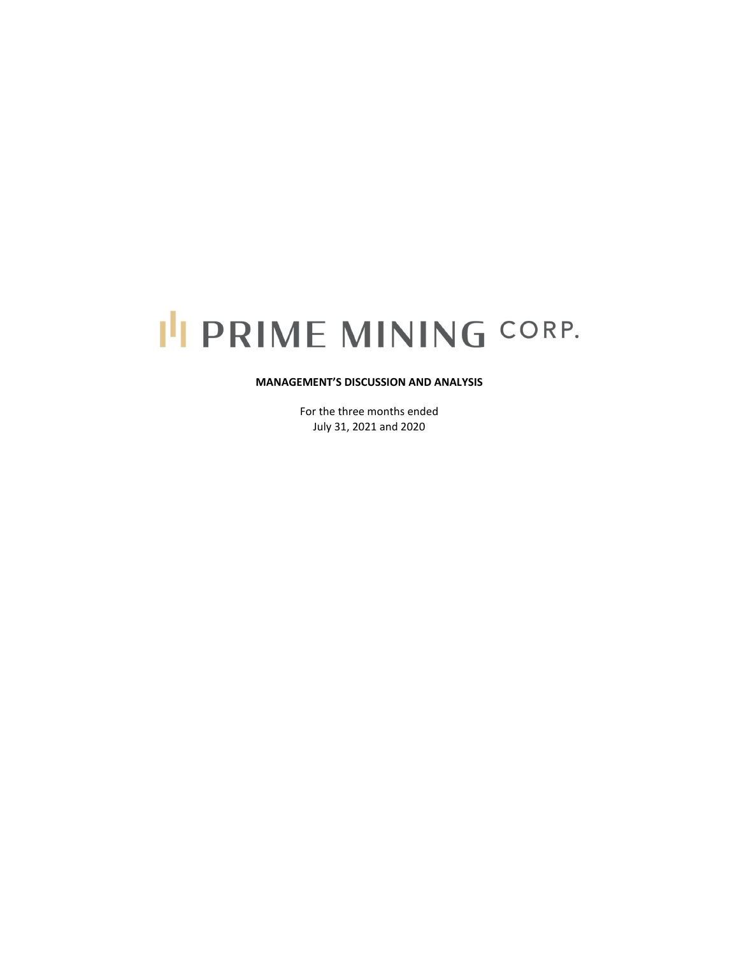# I'I PRIME MINING CORP.

### **MANAGEMENT'S DISCUSSION AND ANALYSIS**

For the three months ended July 31, 2021 and 2020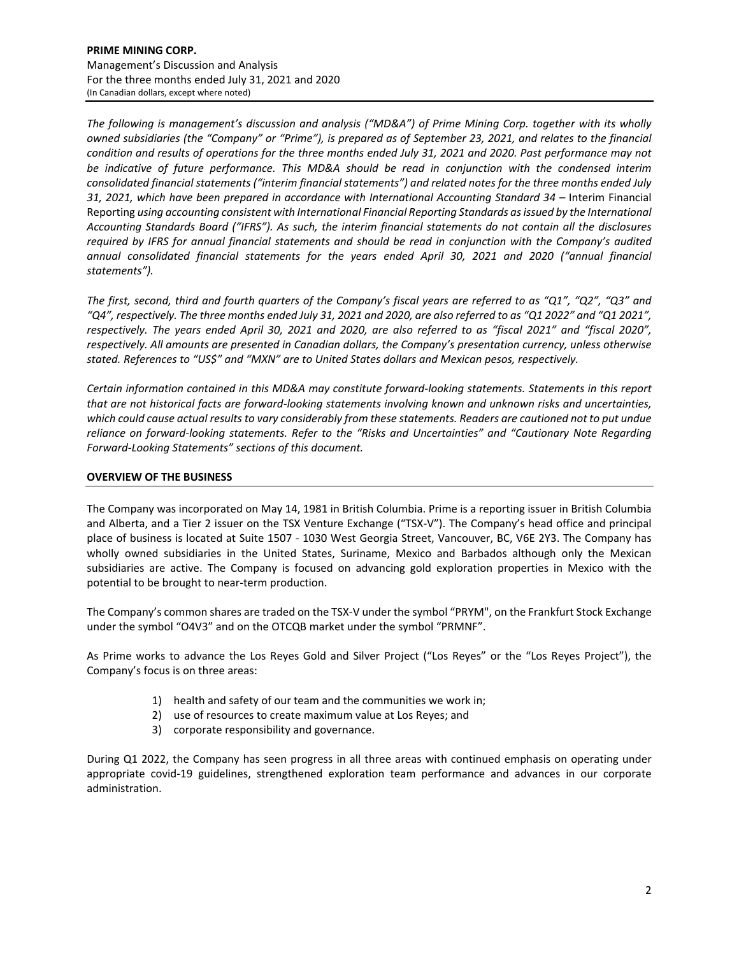*The following is management's discussion and analysis ("MD&A") of Prime Mining Corp. together with its wholly* owned subsidiaries (the "Company" or "Prime"), is prepared as of September 23, 2021, and relates to the financial condition and results of operations for the three months ended July 31, 2021 and 2020. Past performance may not *be indicative of future performance. This MD&A should be read in conjunction with the condensed interim consolidated financial statements ("interim financial statements") and related notes for the three months ended July 31, 2021, which have been prepared in accordance with International Accounting Standard 34 –* Interim Financial Reporting *using accounting consistent with International Financial Reporting Standards asissued by the International* Accounting Standards Board ("IFRS"). As such, the interim financial statements do not contain all the disclosures required by IFRS for annual financial statements and should be read in conjunction with the Company's audited *annual consolidated financial statements for the years ended April 30, 2021 and 2020 ("annual financial statements").*

The first, second, third and fourth quarters of the Company's fiscal years are referred to as "Q1", "Q2", "Q3" and "Q4", respectively. The three months ended July 31, 2021 and 2020, are also referred to as "Q1 2022" and "Q1 2021", respectively. The years ended April 30, 2021 and 2020, are also referred to as "fiscal 2021" and "fiscal 2020", *respectively. All amounts are presented in Canadian dollars, the Company's presentation currency, unless otherwise stated. References to "US\$" and "MXN" are to United States dollars and Mexican pesos, respectively.*

*Certain information contained in this MD&A may constitute forward‐looking statements. Statements in this report* that are not historical facts are forward-looking statements involving known and unknown risks and uncertainties, which could cause actual results to vary considerably from these statements. Readers are cautioned not to put undue *reliance on forward‐looking statements. Refer to the "Risks and Uncertainties" and "Cautionary Note Regarding Forward‐Looking Statements" sections of this document.* 

## **OVERVIEW OF THE BUSINESS**

The Company was incorporated on May 14, 1981 in British Columbia. Prime is a reporting issuer in British Columbia and Alberta, and a Tier 2 issuer on the TSX Venture Exchange ("TSX-V"). The Company's head office and principal place of business is located at Suite 1507 ‐ 1030 West Georgia Street, Vancouver, BC, V6E 2Y3. The Company has wholly owned subsidiaries in the United States, Suriname, Mexico and Barbados although only the Mexican subsidiaries are active. The Company is focused on advancing gold exploration properties in Mexico with the potential to be brought to near-term production.

The Company's common shares are traded on the TSX‐V under the symbol "PRYM", on the Frankfurt Stock Exchange under the symbol "O4V3" and on the OTCQB market under the symbol "PRMNF".

As Prime works to advance the Los Reyes Gold and Silver Project ("Los Reyes" or the "Los Reyes Project"), the Company's focus is on three areas:

- 1) health and safety of our team and the communities we work in;
- 2) use of resources to create maximum value at Los Reyes; and
- 3) corporate responsibility and governance.

During Q1 2022, the Company has seen progress in all three areas with continued emphasis on operating under appropriate covid‐19 guidelines, strengthened exploration team performance and advances in our corporate administration.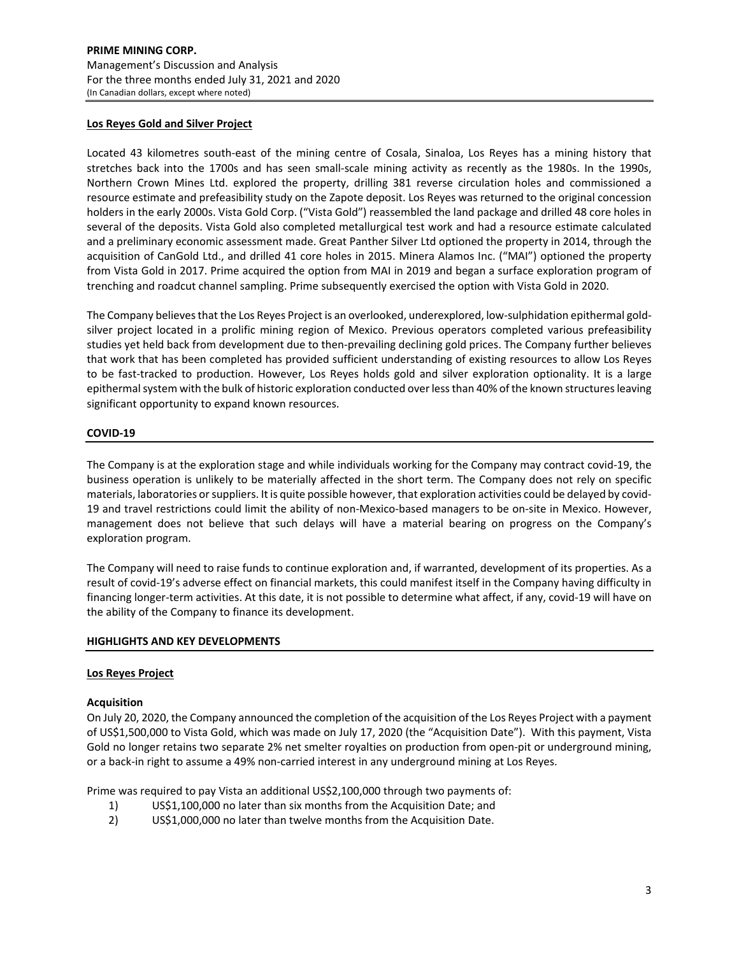## **Los Reyes Gold and Silver Project**

Located 43 kilometres south‐east of the mining centre of Cosala, Sinaloa, Los Reyes has a mining history that stretches back into the 1700s and has seen small‐scale mining activity as recently as the 1980s. In the 1990s, Northern Crown Mines Ltd. explored the property, drilling 381 reverse circulation holes and commissioned a resource estimate and prefeasibility study on the Zapote deposit. Los Reyes was returned to the original concession holders in the early 2000s. Vista Gold Corp. ("Vista Gold") reassembled the land package and drilled 48 core holes in several of the deposits. Vista Gold also completed metallurgical test work and had a resource estimate calculated and a preliminary economic assessment made. Great Panther Silver Ltd optioned the property in 2014, through the acquisition of CanGold Ltd., and drilled 41 core holes in 2015. Minera Alamos Inc. ("MAI") optioned the property from Vista Gold in 2017. Prime acquired the option from MAI in 2019 and began a surface exploration program of trenching and roadcut channel sampling. Prime subsequently exercised the option with Vista Gold in 2020.

The Company believes that the Los Reyes Project is an overlooked, underexplored, low-sulphidation epithermal goldsilver project located in a prolific mining region of Mexico. Previous operators completed various prefeasibility studies yet held back from development due to then‐prevailing declining gold prices. The Company further believes that work that has been completed has provided sufficient understanding of existing resources to allow Los Reyes to be fast-tracked to production. However, Los Reyes holds gold and silver exploration optionality. It is a large epithermal system with the bulk of historic exploration conducted over less than 40% of the known structures leaving significant opportunity to expand known resources.

### **COVID‐19**

The Company is at the exploration stage and while individuals working for the Company may contract covid‐19, the business operation is unlikely to be materially affected in the short term. The Company does not rely on specific materials, laboratories orsuppliers. It is quite possible however, that exploration activities could be delayed by covid‐ 19 and travel restrictions could limit the ability of non-Mexico-based managers to be on-site in Mexico. However, management does not believe that such delays will have a material bearing on progress on the Company's exploration program.

The Company will need to raise funds to continue exploration and, if warranted, development of its properties. As a result of covid‐19's adverse effect on financial markets, this could manifest itself in the Company having difficulty in financing longer-term activities. At this date, it is not possible to determine what affect, if any, covid-19 will have on the ability of the Company to finance its development.

### **HIGHLIGHTS AND KEY DEVELOPMENTS**

### **Los Reyes Project**

### **Acquisition**

On July 20, 2020, the Company announced the completion of the acquisition of the Los Reyes Project with a payment of US\$1,500,000 to Vista Gold, which was made on July 17, 2020 (the "Acquisition Date"). With this payment, Vista Gold no longer retains two separate 2% net smelter royalties on production from open‐pit or underground mining, or a back‐in right to assume a 49% non‐carried interest in any underground mining at Los Reyes.

Prime was required to pay Vista an additional US\$2,100,000 through two payments of:

- 1) US\$1,100,000 no later than six months from the Acquisition Date; and
- 2) US\$1,000,000 no later than twelve months from the Acquisition Date.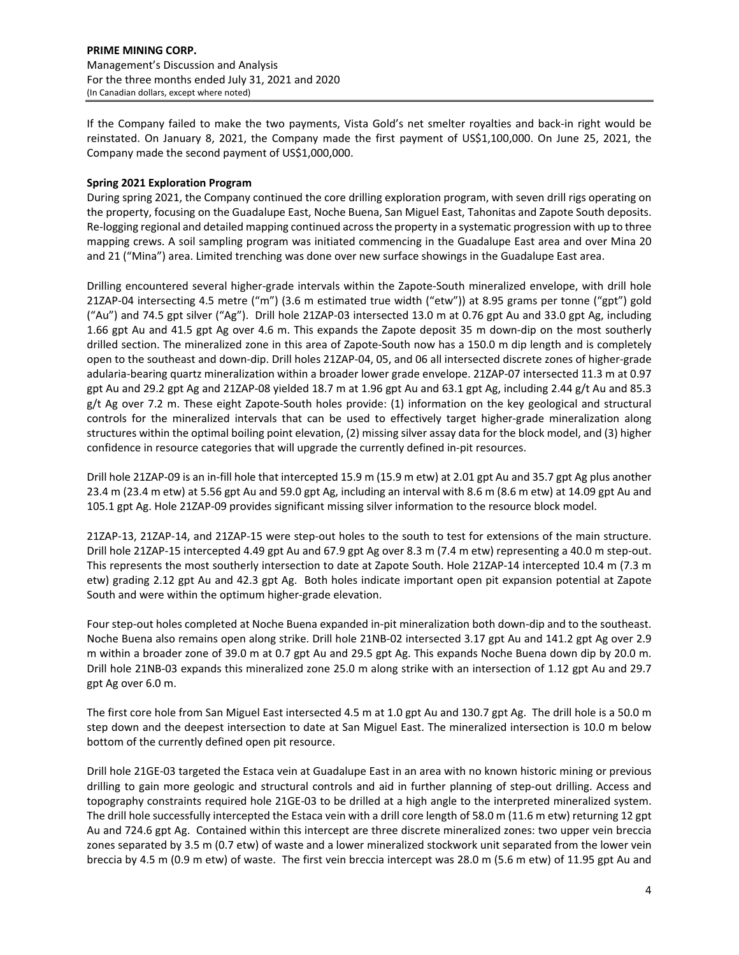If the Company failed to make the two payments, Vista Gold's net smelter royalties and back‐in right would be reinstated. On January 8, 2021, the Company made the first payment of US\$1,100,000. On June 25, 2021, the Company made the second payment of US\$1,000,000.

# **Spring 2021 Exploration Program**

During spring 2021, the Company continued the core drilling exploration program, with seven drill rigs operating on the property, focusing on the Guadalupe East, Noche Buena, San Miguel East, Tahonitas and Zapote South deposits. Re-logging regional and detailed mapping continued across the property in a systematic progression with up to three mapping crews. A soil sampling program was initiated commencing in the Guadalupe East area and over Mina 20 and 21 ("Mina") area. Limited trenching was done over new surface showings in the Guadalupe East area.

Drilling encountered several higher‐grade intervals within the Zapote‐South mineralized envelope, with drill hole 21ZAP‐04 intersecting 4.5 metre ("m") (3.6 m estimated true width ("etw")) at 8.95 grams per tonne ("gpt") gold ("Au") and 74.5 gpt silver ("Ag"). Drill hole 21ZAP‐03 intersected 13.0 m at 0.76 gpt Au and 33.0 gpt Ag, including 1.66 gpt Au and 41.5 gpt Ag over 4.6 m. This expands the Zapote deposit 35 m down‐dip on the most southerly drilled section. The mineralized zone in this area of Zapote‐South now has a 150.0 m dip length and is completely open to the southeast and down‐dip. Drill holes 21ZAP‐04, 05, and 06 all intersected discrete zones of higher‐grade adularia‐bearing quartz mineralization within a broader lower grade envelope. 21ZAP‐07 intersected 11.3 m at 0.97 gpt Au and 29.2 gpt Ag and 21ZAP‐08 yielded 18.7 m at 1.96 gpt Au and 63.1 gpt Ag, including 2.44 g/t Au and 85.3 g/t Ag over 7.2 m. These eight Zapote‐South holes provide: (1) information on the key geological and structural controls for the mineralized intervals that can be used to effectively target higher-grade mineralization along structures within the optimal boiling point elevation, (2) missing silver assay data for the block model, and (3) higher confidence in resource categories that will upgrade the currently defined in‐pit resources.

Drill hole 21ZAP‐09 is an in‐fill hole that intercepted 15.9 m (15.9 m etw) at 2.01 gpt Au and 35.7 gpt Ag plus another 23.4 m (23.4 m etw) at 5.56 gpt Au and 59.0 gpt Ag, including an interval with 8.6 m (8.6 m etw) at 14.09 gpt Au and 105.1 gpt Ag. Hole 21ZAP‐09 provides significant missing silver information to the resource block model.

21ZAP-13, 21ZAP-14, and 21ZAP-15 were step-out holes to the south to test for extensions of the main structure. Drill hole 21ZAP-15 intercepted 4.49 gpt Au and 67.9 gpt Ag over 8.3 m (7.4 m etw) representing a 40.0 m step-out. This represents the most southerly intersection to date at Zapote South. Hole 21ZAP‐14 intercepted 10.4 m (7.3 m etw) grading 2.12 gpt Au and 42.3 gpt Ag. Both holes indicate important open pit expansion potential at Zapote South and were within the optimum higher‐grade elevation.

Four step-out holes completed at Noche Buena expanded in-pit mineralization both down-dip and to the southeast. Noche Buena also remains open along strike. Drill hole 21NB‐02 intersected 3.17 gpt Au and 141.2 gpt Ag over 2.9 m within a broader zone of 39.0 m at 0.7 gpt Au and 29.5 gpt Ag. This expands Noche Buena down dip by 20.0 m. Drill hole 21NB‐03 expands this mineralized zone 25.0 m along strike with an intersection of 1.12 gpt Au and 29.7 gpt Ag over 6.0 m.

The first core hole from San Miguel East intersected 4.5 m at 1.0 gpt Au and 130.7 gpt Ag. The drill hole is a 50.0 m step down and the deepest intersection to date at San Miguel East. The mineralized intersection is 10.0 m below bottom of the currently defined open pit resource.

Drill hole 21GE‐03 targeted the Estaca vein at Guadalupe East in an area with no known historic mining or previous drilling to gain more geologic and structural controls and aid in further planning of step-out drilling. Access and topography constraints required hole 21GE-03 to be drilled at a high angle to the interpreted mineralized system. The drill hole successfully intercepted the Estaca vein with a drill core length of 58.0 m (11.6 m etw) returning 12 gpt Au and 724.6 gpt Ag. Contained within this intercept are three discrete mineralized zones: two upper vein breccia zones separated by 3.5 m (0.7 etw) of waste and a lower mineralized stockwork unit separated from the lower vein breccia by 4.5 m (0.9 m etw) of waste. The first vein breccia intercept was 28.0 m (5.6 m etw) of 11.95 gpt Au and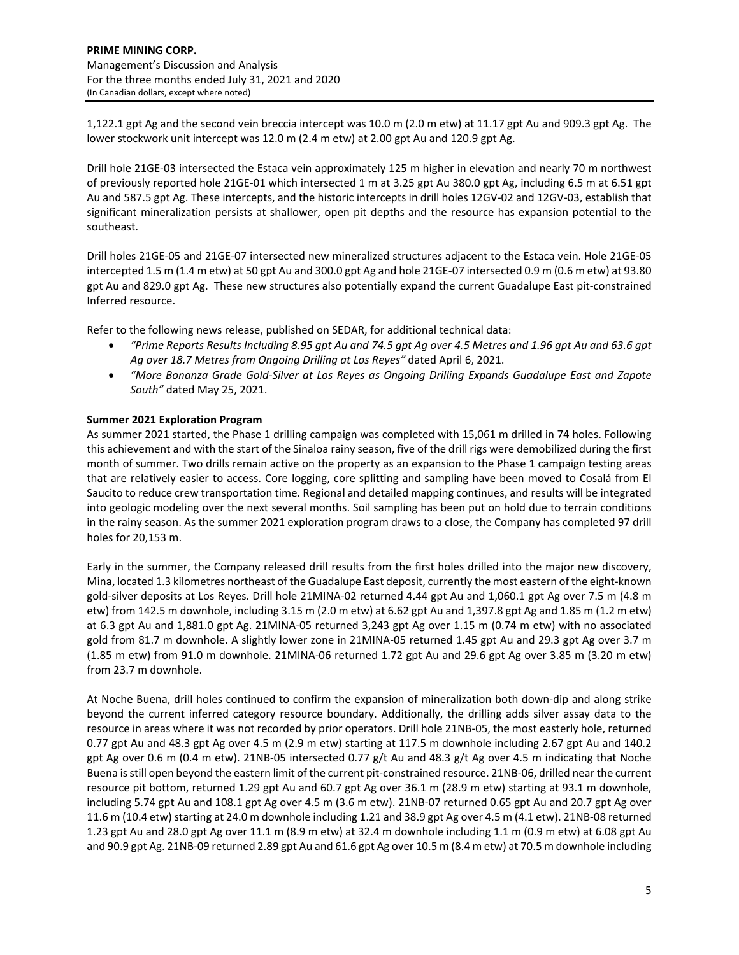1,122.1 gpt Ag and the second vein breccia intercept was 10.0 m (2.0 m etw) at 11.17 gpt Au and 909.3 gpt Ag. The lower stockwork unit intercept was 12.0 m (2.4 m etw) at 2.00 gpt Au and 120.9 gpt Ag.

Drill hole 21GE‐03 intersected the Estaca vein approximately 125 m higher in elevation and nearly 70 m northwest of previously reported hole 21GE‐01 which intersected 1 m at 3.25 gpt Au 380.0 gpt Ag, including 6.5 m at 6.51 gpt Au and 587.5 gpt Ag. These intercepts, and the historic intercepts in drill holes 12GV‐02 and 12GV‐03, establish that significant mineralization persists at shallower, open pit depths and the resource has expansion potential to the southeast.

Drill holes 21GE‐05 and 21GE‐07 intersected new mineralized structures adjacent to the Estaca vein. Hole 21GE‐05 intercepted 1.5 m (1.4 m etw) at 50 gpt Au and 300.0 gpt Ag and hole 21GE‐07 intersected 0.9 m (0.6 m etw) at 93.80 gpt Au and 829.0 gpt Ag. These new structures also potentially expand the current Guadalupe East pit‐constrained Inferred resource.

Refer to the following news release, published on SEDAR, for additional technical data:

- "Prime Reports Results Including 8.95 gpt Au and 74.5 gpt Ag over 4.5 Metres and 1.96 gpt Au and 63.6 gpt *Ag over 18.7 Metres from Ongoing Drilling at Los Reyes"* dated April 6, 2021.
- *"More Bonanza Grade Gold‐Silver at Los Reyes as Ongoing Drilling Expands Guadalupe East and Zapote South"* dated May 25, 2021.

## **Summer 2021 Exploration Program**

As summer 2021 started, the Phase 1 drilling campaign was completed with 15,061 m drilled in 74 holes. Following this achievement and with the start of the Sinaloa rainy season, five of the drill rigs were demobilized during the first month of summer. Two drills remain active on the property as an expansion to the Phase 1 campaign testing areas that are relatively easier to access. Core logging, core splitting and sampling have been moved to Cosalá from El Saucito to reduce crew transportation time. Regional and detailed mapping continues, and results will be integrated into geologic modeling over the next several months. Soil sampling has been put on hold due to terrain conditions in the rainy season. As the summer 2021 exploration program draws to a close, the Company has completed 97 drill holes for 20,153 m.

Early in the summer, the Company released drill results from the first holes drilled into the major new discovery, Mina, located 1.3 kilometres northeast of the Guadalupe East deposit, currently the most eastern of the eight‐known gold‐silver deposits at Los Reyes. Drill hole 21MINA‐02 returned 4.44 gpt Au and 1,060.1 gpt Ag over 7.5 m (4.8 m etw) from 142.5 m downhole, including 3.15 m (2.0 m etw) at 6.62 gpt Au and 1,397.8 gpt Ag and 1.85 m (1.2 m etw) at 6.3 gpt Au and 1,881.0 gpt Ag. 21MINA‐05 returned 3,243 gpt Ag over 1.15 m (0.74 m etw) with no associated gold from 81.7 m downhole. A slightly lower zone in 21MINA‐05 returned 1.45 gpt Au and 29.3 gpt Ag over 3.7 m (1.85 m etw) from 91.0 m downhole. 21MINA‐06 returned 1.72 gpt Au and 29.6 gpt Ag over 3.85 m (3.20 m etw) from 23.7 m downhole.

At Noche Buena, drill holes continued to confirm the expansion of mineralization both down‐dip and along strike beyond the current inferred category resource boundary. Additionally, the drilling adds silver assay data to the resource in areas where it was not recorded by prior operators. Drill hole 21NB‐05, the most easterly hole, returned 0.77 gpt Au and 48.3 gpt Ag over 4.5 m (2.9 m etw) starting at 117.5 m downhole including 2.67 gpt Au and 140.2 gpt Ag over 0.6 m (0.4 m etw). 21NB‐05 intersected 0.77 g/t Au and 48.3 g/t Ag over 4.5 m indicating that Noche Buena isstill open beyond the eastern limit of the current pit‐constrained resource. 21NB‐06, drilled near the current resource pit bottom, returned 1.29 gpt Au and 60.7 gpt Ag over 36.1 m (28.9 m etw) starting at 93.1 m downhole, including 5.74 gpt Au and 108.1 gpt Ag over 4.5 m (3.6 m etw). 21NB‐07 returned 0.65 gpt Au and 20.7 gpt Ag over 11.6 m (10.4 etw) starting at 24.0 m downhole including 1.21 and 38.9 gpt Ag over 4.5 m (4.1 etw). 21NB-08 returned 1.23 gpt Au and 28.0 gpt Ag over 11.1 m (8.9 m etw) at 32.4 m downhole including 1.1 m (0.9 m etw) at 6.08 gpt Au and 90.9 gpt Ag. 21NB‐09 returned 2.89 gpt Au and 61.6 gpt Ag over 10.5 m (8.4 m etw) at 70.5 m downhole including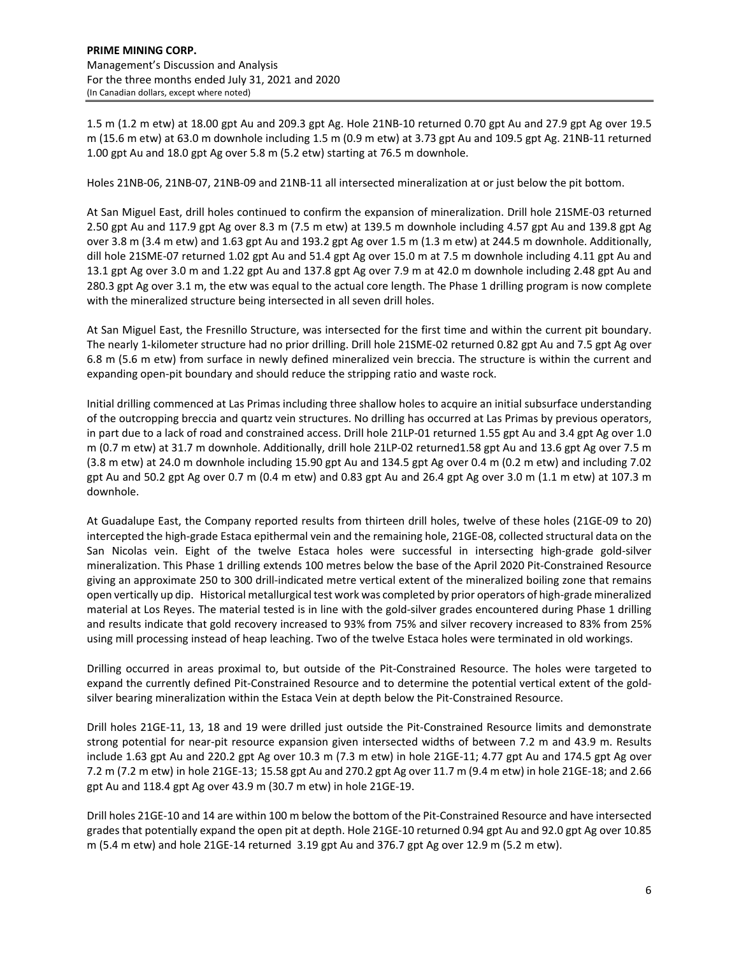1.5 m (1.2 m etw) at 18.00 gpt Au and 209.3 gpt Ag. Hole 21NB‐10 returned 0.70 gpt Au and 27.9 gpt Ag over 19.5 m (15.6 m etw) at 63.0 m downhole including 1.5 m (0.9 m etw) at 3.73 gpt Au and 109.5 gpt Ag. 21NB‐11 returned 1.00 gpt Au and 18.0 gpt Ag over 5.8 m (5.2 etw) starting at 76.5 m downhole.

Holes 21NB‐06, 21NB‐07, 21NB‐09 and 21NB‐11 all intersected mineralization at or just below the pit bottom.

At San Miguel East, drill holes continued to confirm the expansion of mineralization. Drill hole 21SME‐03 returned 2.50 gpt Au and 117.9 gpt Ag over 8.3 m (7.5 m etw) at 139.5 m downhole including 4.57 gpt Au and 139.8 gpt Ag over 3.8 m (3.4 m etw) and 1.63 gpt Au and 193.2 gpt Ag over 1.5 m (1.3 m etw) at 244.5 m downhole. Additionally, dill hole 21SME‐07 returned 1.02 gpt Au and 51.4 gpt Ag over 15.0 m at 7.5 m downhole including 4.11 gpt Au and 13.1 gpt Ag over 3.0 m and 1.22 gpt Au and 137.8 gpt Ag over 7.9 m at 42.0 m downhole including 2.48 gpt Au and 280.3 gpt Ag over 3.1 m, the etw was equal to the actual core length. The Phase 1 drilling program is now complete with the mineralized structure being intersected in all seven drill holes.

At San Miguel East, the Fresnillo Structure, was intersected for the first time and within the current pit boundary. The nearly 1‐kilometer structure had no prior drilling. Drill hole 21SME‐02 returned 0.82 gpt Au and 7.5 gpt Ag over 6.8 m (5.6 m etw) from surface in newly defined mineralized vein breccia. The structure is within the current and expanding open‐pit boundary and should reduce the stripping ratio and waste rock.

Initial drilling commenced at Las Primas including three shallow holes to acquire an initial subsurface understanding of the outcropping breccia and quartz vein structures. No drilling has occurred at Las Primas by previous operators, in part due to a lack of road and constrained access. Drill hole 21LP-01 returned 1.55 gpt Au and 3.4 gpt Ag over 1.0 m (0.7 m etw) at 31.7 m downhole. Additionally, drill hole 21LP‐02 returned1.58 gpt Au and 13.6 gpt Ag over 7.5 m (3.8 m etw) at 24.0 m downhole including 15.90 gpt Au and 134.5 gpt Ag over 0.4 m (0.2 m etw) and including 7.02 gpt Au and 50.2 gpt Ag over 0.7 m (0.4 m etw) and 0.83 gpt Au and 26.4 gpt Ag over 3.0 m (1.1 m etw) at 107.3 m downhole.

At Guadalupe East, the Company reported results from thirteen drill holes, twelve of these holes (21GE‐09 to 20) intercepted the high‐grade Estaca epithermal vein and the remaining hole, 21GE‐08, collected structural data on the San Nicolas vein. Eight of the twelve Estaca holes were successful in intersecting high‐grade gold‐silver mineralization. This Phase 1 drilling extends 100 metres below the base of the April 2020 Pit‐Constrained Resource giving an approximate 250 to 300 drill-indicated metre vertical extent of the mineralized boiling zone that remains open vertically up dip. Historical metallurgical test work was completed by prior operators of high‐grade mineralized material at Los Reyes. The material tested is in line with the gold‐silver grades encountered during Phase 1 drilling and results indicate that gold recovery increased to 93% from 75% and silver recovery increased to 83% from 25% using mill processing instead of heap leaching. Two of the twelve Estaca holes were terminated in old workings.

Drilling occurred in areas proximal to, but outside of the Pit‐Constrained Resource. The holes were targeted to expand the currently defined Pit‐Constrained Resource and to determine the potential vertical extent of the gold‐ silver bearing mineralization within the Estaca Vein at depth below the Pit‐Constrained Resource.

Drill holes 21GE‐11, 13, 18 and 19 were drilled just outside the Pit‐Constrained Resource limits and demonstrate strong potential for near‐pit resource expansion given intersected widths of between 7.2 m and 43.9 m. Results include 1.63 gpt Au and 220.2 gpt Ag over 10.3 m (7.3 m etw) in hole 21GE‐11; 4.77 gpt Au and 174.5 gpt Ag over 7.2 m (7.2 m etw) in hole 21GE‐13; 15.58 gpt Au and 270.2 gpt Ag over 11.7 m (9.4 m etw) in hole 21GE‐18; and 2.66 gpt Au and 118.4 gpt Ag over 43.9 m (30.7 m etw) in hole 21GE‐19.

Drill holes 21GE‐10 and 14 are within 100 m below the bottom of the Pit‐Constrained Resource and have intersected grades that potentially expand the open pit at depth. Hole 21GE‐10 returned 0.94 gpt Au and 92.0 gpt Ag over 10.85 m (5.4 m etw) and hole 21GE‐14 returned 3.19 gpt Au and 376.7 gpt Ag over 12.9 m (5.2 m etw).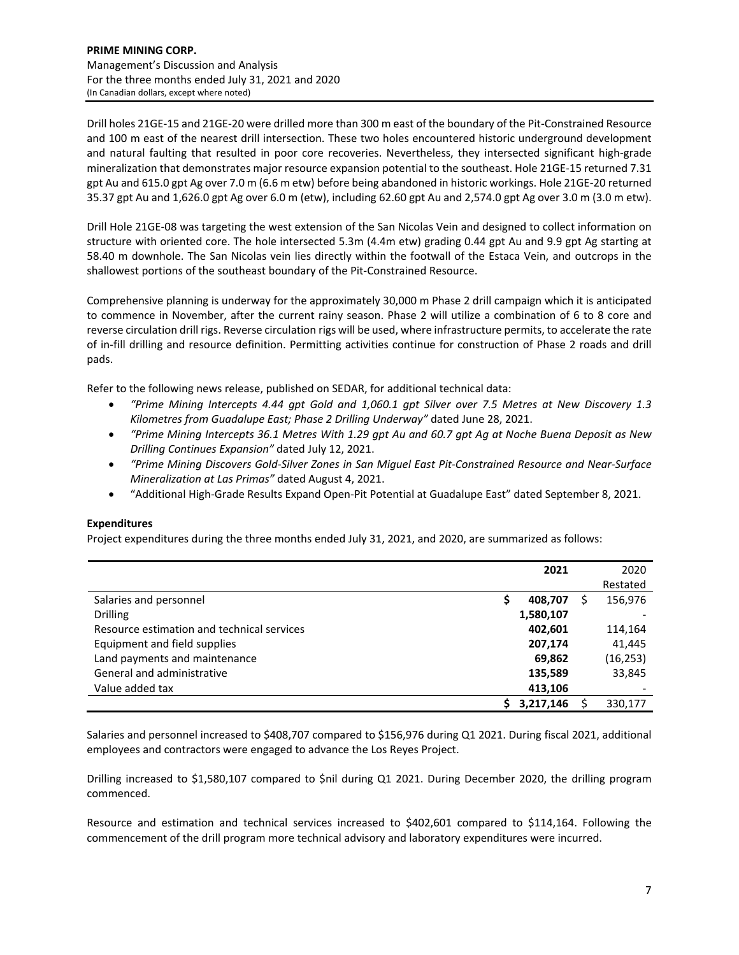Drill holes 21GE‐15 and 21GE‐20 were drilled more than 300 m east of the boundary of the Pit‐Constrained Resource and 100 m east of the nearest drill intersection. These two holes encountered historic underground development and natural faulting that resulted in poor core recoveries. Nevertheless, they intersected significant high-grade mineralization that demonstrates major resource expansion potential to the southeast. Hole 21GE‐15 returned 7.31 gpt Au and 615.0 gpt Ag over 7.0 m (6.6 m etw) before being abandoned in historic workings. Hole 21GE‐20 returned 35.37 gpt Au and 1,626.0 gpt Ag over 6.0 m (etw), including 62.60 gpt Au and 2,574.0 gpt Ag over 3.0 m (3.0 m etw).

Drill Hole 21GE‐08 was targeting the west extension of the San Nicolas Vein and designed to collect information on structure with oriented core. The hole intersected 5.3m (4.4m etw) grading 0.44 gpt Au and 9.9 gpt Ag starting at 58.40 m downhole. The San Nicolas vein lies directly within the footwall of the Estaca Vein, and outcrops in the shallowest portions of the southeast boundary of the Pit‐Constrained Resource.

Comprehensive planning is underway for the approximately 30,000 m Phase 2 drill campaign which it is anticipated to commence in November, after the current rainy season. Phase 2 will utilize a combination of 6 to 8 core and reverse circulation drill rigs. Reverse circulation rigs will be used, where infrastructure permits, to accelerate the rate of in‐fill drilling and resource definition. Permitting activities continue for construction of Phase 2 roads and drill pads.

Refer to the following news release, published on SEDAR, for additional technical data:

- *"Prime Mining Intercepts 4.44 gpt Gold and 1,060.1 gpt Silver over 7.5 Metres at New Discovery 1.3 Kilometres from Guadalupe East; Phase 2 Drilling Underway"* dated June 28, 2021.
- "Prime Mining Intercepts 36.1 Metres With 1.29 gpt Au and 60.7 gpt Ag at Noche Buena Deposit as New *Drilling Continues Expansion"* dated July 12, 2021.
- "Prime Mining Discovers Gold-Silver Zones in San Miguel East Pit-Constrained Resource and Near-Surface *Mineralization at Las Primas"* dated August 4, 2021.
- "Additional High‐Grade Results Expand Open‐Pit Potential at Guadalupe East" dated September 8, 2021.

# **Expenditures**

Project expenditures during the three months ended July 31, 2021, and 2020, are summarized as follows:

|                                            | 2021      | 2020      |
|--------------------------------------------|-----------|-----------|
|                                            |           | Restated  |
| Salaries and personnel                     | 408,707   | 156,976   |
| <b>Drilling</b>                            | 1,580,107 |           |
| Resource estimation and technical services | 402,601   | 114,164   |
| Equipment and field supplies               | 207,174   | 41,445    |
| Land payments and maintenance              | 69,862    | (16, 253) |
| General and administrative                 | 135,589   | 33,845    |
| Value added tax                            | 413,106   |           |
|                                            | 3,217,146 | 330,177   |

Salaries and personnel increased to \$408,707 compared to \$156,976 during Q1 2021. During fiscal 2021, additional employees and contractors were engaged to advance the Los Reyes Project.

Drilling increased to \$1,580,107 compared to \$nil during Q1 2021. During December 2020, the drilling program commenced.

Resource and estimation and technical services increased to \$402,601 compared to \$114,164. Following the commencement of the drill program more technical advisory and laboratory expenditures were incurred.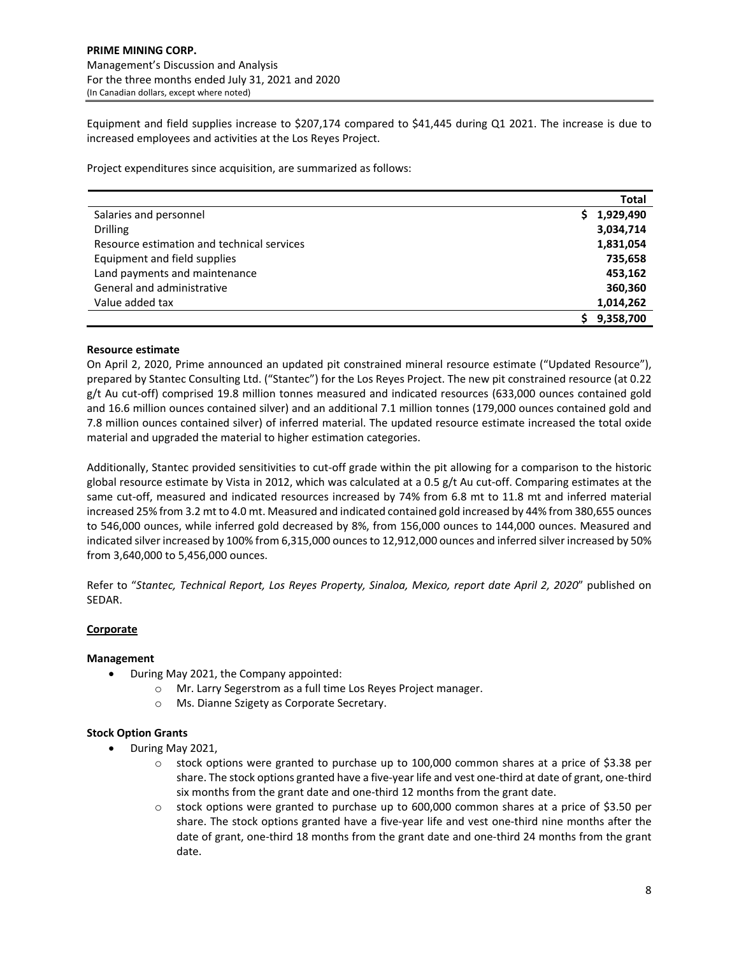Equipment and field supplies increase to \$207,174 compared to \$41,445 during Q1 2021. The increase is due to increased employees and activities at the Los Reyes Project.

Project expenditures since acquisition, are summarized as follows:

|                                            | Total           |
|--------------------------------------------|-----------------|
| Salaries and personnel                     | 1,929,490<br>S. |
| <b>Drilling</b>                            | 3,034,714       |
| Resource estimation and technical services | 1,831,054       |
| Equipment and field supplies               | 735,658         |
| Land payments and maintenance              | 453,162         |
| General and administrative                 | 360,360         |
| Value added tax                            | 1,014,262       |
|                                            | 9,358,700       |

## **Resource estimate**

On April 2, 2020, Prime announced an updated pit constrained mineral resource estimate ("Updated Resource"), prepared by Stantec Consulting Ltd. ("Stantec") for the Los Reyes Project. The new pit constrained resource (at 0.22 g/t Au cut-off) comprised 19.8 million tonnes measured and indicated resources (633,000 ounces contained gold and 16.6 million ounces contained silver) and an additional 7.1 million tonnes (179,000 ounces contained gold and 7.8 million ounces contained silver) of inferred material. The updated resource estimate increased the total oxide material and upgraded the material to higher estimation categories.

Additionally, Stantec provided sensitivities to cut‐off grade within the pit allowing for a comparison to the historic global resource estimate by Vista in 2012, which was calculated at a 0.5 g/t Au cut-off. Comparing estimates at the same cut-off, measured and indicated resources increased by 74% from 6.8 mt to 11.8 mt and inferred material increased 25% from 3.2 mt to 4.0 mt. Measured and indicated contained gold increased by 44% from 380,655 ounces to 546,000 ounces, while inferred gold decreased by 8%, from 156,000 ounces to 144,000 ounces. Measured and indicated silver increased by 100% from 6,315,000 ounces to 12,912,000 ounces and inferred silver increased by 50% from 3,640,000 to 5,456,000 ounces.

Refer to "*Stantec, Technical Report, Los Reyes Property, Sinaloa, Mexico, report date April 2, 2020*" published on SEDAR.

# **Corporate**

### **Management**

- During May 2021, the Company appointed:
	- o Mr. Larry Segerstrom as a full time Los Reyes Project manager.
	- o Ms. Dianne Szigety as Corporate Secretary.

### **Stock Option Grants**

- During May 2021,
	- $\circ$  stock options were granted to purchase up to 100,000 common shares at a price of \$3.38 per share. The stock options granted have a five‐year life and vest one‐third at date of grant, one‐third six months from the grant date and one‐third 12 months from the grant date.
	- o stock options were granted to purchase up to 600,000 common shares at a price of \$3.50 per share. The stock options granted have a five-year life and vest one-third nine months after the date of grant, one-third 18 months from the grant date and one-third 24 months from the grant date.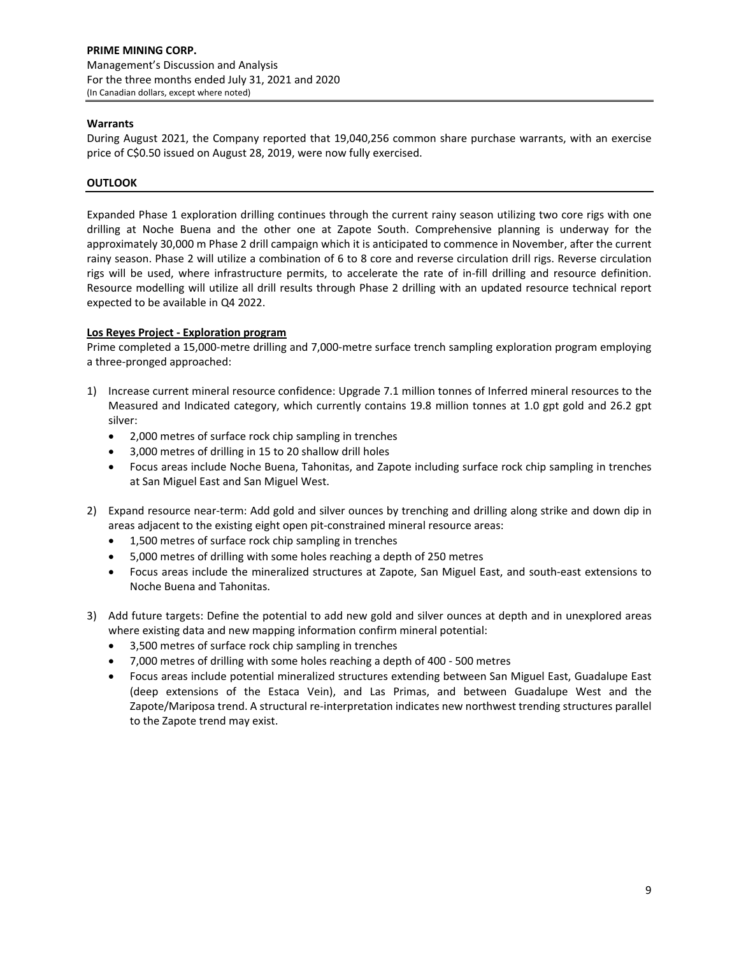## **Warrants**

During August 2021, the Company reported that 19,040,256 common share purchase warrants, with an exercise price of C\$0.50 issued on August 28, 2019, were now fully exercised.

## **OUTLOOK**

Expanded Phase 1 exploration drilling continues through the current rainy season utilizing two core rigs with one drilling at Noche Buena and the other one at Zapote South. Comprehensive planning is underway for the approximately 30,000 m Phase 2 drill campaign which it is anticipated to commence in November, after the current rainy season. Phase 2 will utilize a combination of 6 to 8 core and reverse circulation drill rigs. Reverse circulation rigs will be used, where infrastructure permits, to accelerate the rate of in‐fill drilling and resource definition. Resource modelling will utilize all drill results through Phase 2 drilling with an updated resource technical report expected to be available in Q4 2022.

## **Los Reyes Project ‐ Exploration program**

Prime completed a 15,000‐metre drilling and 7,000‐metre surface trench sampling exploration program employing a three‐pronged approached:

- 1) Increase current mineral resource confidence: Upgrade 7.1 million tonnes of Inferred mineral resources to the Measured and Indicated category, which currently contains 19.8 million tonnes at 1.0 gpt gold and 26.2 gpt silver:
	- 2,000 metres of surface rock chip sampling in trenches
	- 3,000 metres of drilling in 15 to 20 shallow drill holes
	- Focus areas include Noche Buena, Tahonitas, and Zapote including surface rock chip sampling in trenches at San Miguel East and San Miguel West.
- 2) Expand resource near-term: Add gold and silver ounces by trenching and drilling along strike and down dip in areas adjacent to the existing eight open pit‐constrained mineral resource areas:
	- 1,500 metres of surface rock chip sampling in trenches
	- 5,000 metres of drilling with some holes reaching a depth of 250 metres
	- Focus areas include the mineralized structures at Zapote, San Miguel East, and south‐east extensions to Noche Buena and Tahonitas.
- 3) Add future targets: Define the potential to add new gold and silver ounces at depth and in unexplored areas where existing data and new mapping information confirm mineral potential:
	- 3,500 metres of surface rock chip sampling in trenches
	- 7,000 metres of drilling with some holes reaching a depth of 400 ‐ 500 metres
	- Focus areas include potential mineralized structures extending between San Miguel East, Guadalupe East (deep extensions of the Estaca Vein), and Las Primas, and between Guadalupe West and the Zapote/Mariposa trend. A structural re‐interpretation indicates new northwest trending structures parallel to the Zapote trend may exist.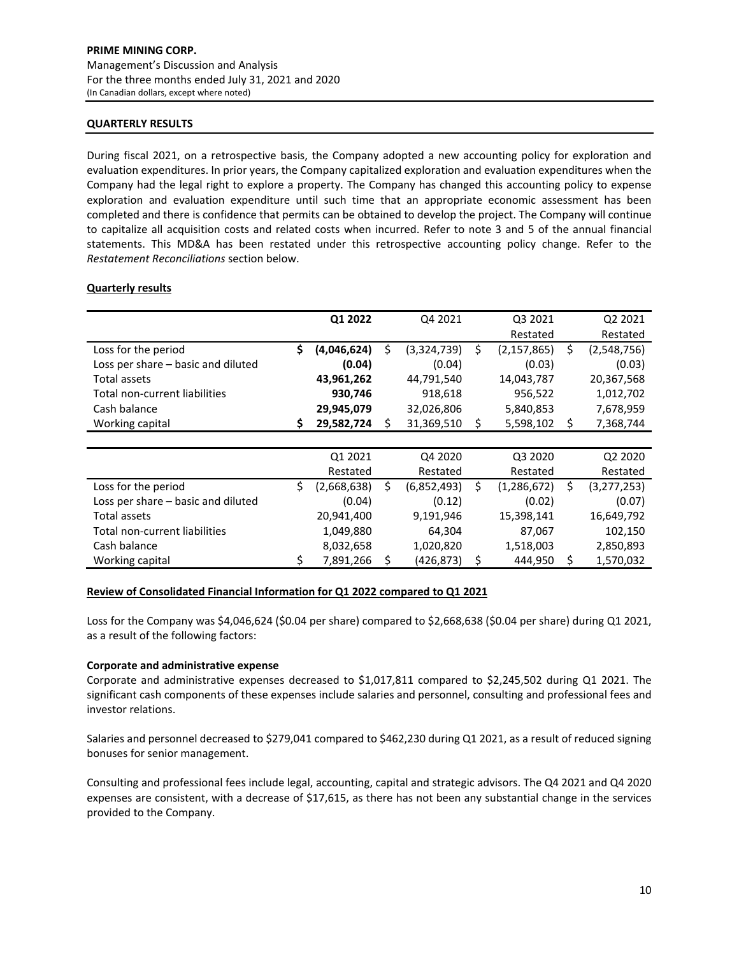## **QUARTERLY RESULTS**

During fiscal 2021, on a retrospective basis, the Company adopted a new accounting policy for exploration and evaluation expenditures. In prior years, the Company capitalized exploration and evaluation expenditures when the Company had the legal right to explore a property. The Company has changed this accounting policy to expense exploration and evaluation expenditure until such time that an appropriate economic assessment has been completed and there is confidence that permits can be obtained to develop the project. The Company will continue to capitalize all acquisition costs and related costs when incurred. Refer to note 3 and 5 of the annual financial statements. This MD&A has been restated under this retrospective accounting policy change. Refer to the *Restatement Reconciliations* section below.

## **Quarterly results**

|                                    |    | Q1 2022     |    | Q4 2021     |    | Q3 2021       | Q2 2021           |
|------------------------------------|----|-------------|----|-------------|----|---------------|-------------------|
|                                    |    |             |    |             |    | Restated      | Restated          |
| Loss for the period                | \$ | (4,046,624) | \$ | (3,324,739) | \$ | (2, 157, 865) | \$<br>(2,548,756) |
| Loss per share - basic and diluted |    | (0.04)      |    | (0.04)      |    | (0.03)        | (0.03)            |
| Total assets                       |    | 43,961,262  |    | 44,791,540  |    | 14,043,787    | 20,367,568        |
| Total non-current liabilities      |    | 930,746     |    | 918,618     |    | 956,522       | 1,012,702         |
| Cash balance                       |    | 29,945,079  |    | 32,026,806  |    | 5,840,853     | 7,678,959         |
| Working capital                    | S  | 29,582,724  | Ś. | 31,369,510  | \$ | 5,598,102     | \$<br>7,368,744   |
|                                    |    |             |    |             |    |               |                   |
|                                    |    | Q1 2021     |    | Q4 2020     |    | Q3 2020       | Q2 2020           |
|                                    |    | Restated    |    | Restated    |    | Restated      | Restated          |
| Loss for the period                | Ś. | (2,668,638) | Ś. | (6,852,493) | Ś  | (1, 286, 672) | \$<br>(3,277,253) |
| Loss per share - basic and diluted |    | (0.04)      |    | (0.12)      |    | (0.02)        | (0.07)            |
| Total assets                       |    | 20,941,400  |    | 9,191,946   |    | 15,398,141    | 16,649,792        |
| Total non-current liabilities      |    | 1,049,880   |    | 64,304      |    | 87,067        | 102,150           |
| Cash balance                       |    | 8,032,658   |    | 1,020,820   |    | 1,518,003     | 2,850,893         |
| Working capital                    | \$ | 7,891,266   | \$ | (426,873)   | \$ | 444,950       | \$<br>1,570,032   |

### **Review of Consolidated Financial Information for Q1 2022 compared to Q1 2021**

Loss for the Company was \$4,046,624 (\$0.04 per share) compared to \$2,668,638 (\$0.04 per share) during Q1 2021, as a result of the following factors:

### **Corporate and administrative expense**

Corporate and administrative expenses decreased to \$1,017,811 compared to \$2,245,502 during Q1 2021. The significant cash components of these expenses include salaries and personnel, consulting and professional fees and investor relations.

Salaries and personnel decreased to \$279,041 compared to \$462,230 during Q1 2021, as a result of reduced signing bonuses for senior management.

Consulting and professional fees include legal, accounting, capital and strategic advisors. The Q4 2021 and Q4 2020 expenses are consistent, with a decrease of \$17,615, as there has not been any substantial change in the services provided to the Company.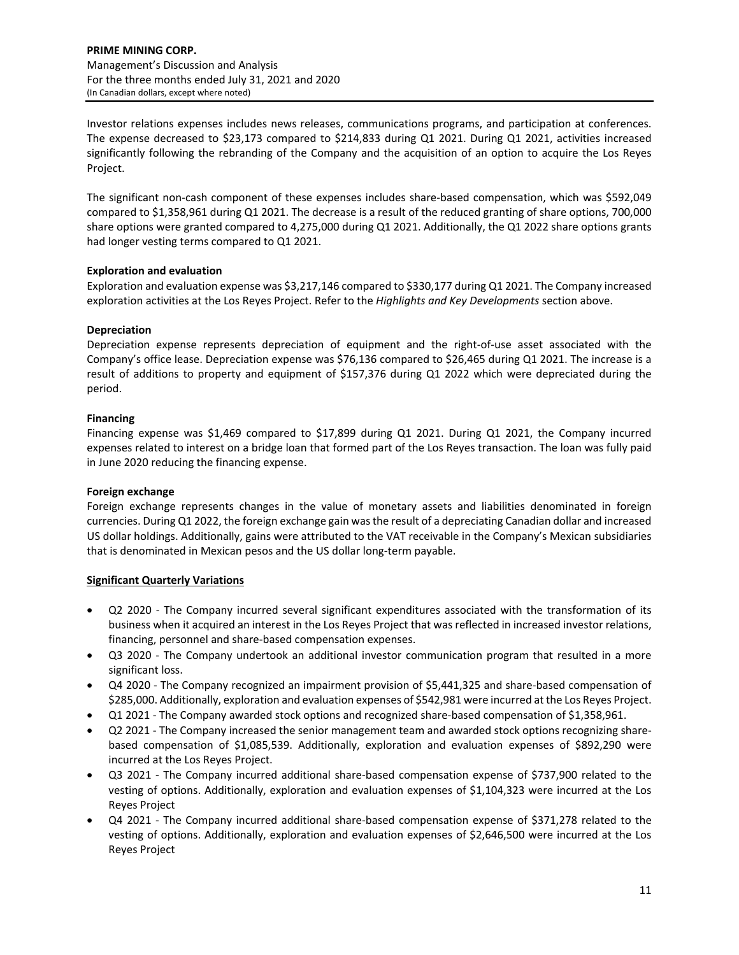Investor relations expenses includes news releases, communications programs, and participation at conferences. The expense decreased to \$23,173 compared to \$214,833 during Q1 2021. During Q1 2021, activities increased significantly following the rebranding of the Company and the acquisition of an option to acquire the Los Reyes Project.

The significant non‐cash component of these expenses includes share‐based compensation, which was \$592,049 compared to \$1,358,961 during Q1 2021. The decrease is a result of the reduced granting of share options, 700,000 share options were granted compared to 4,275,000 during Q1 2021. Additionally, the Q1 2022 share options grants had longer vesting terms compared to Q1 2021.

# **Exploration and evaluation**

Exploration and evaluation expense was \$3,217,146 compared to \$330,177 during Q1 2021. The Company increased exploration activities at the Los Reyes Project. Refer to the *Highlights and Key Developments* section above.

# **Depreciation**

Depreciation expense represents depreciation of equipment and the right-of-use asset associated with the Company's office lease. Depreciation expense was \$76,136 compared to \$26,465 during Q1 2021. The increase is a result of additions to property and equipment of \$157,376 during Q1 2022 which were depreciated during the period.

# **Financing**

Financing expense was \$1,469 compared to \$17,899 during Q1 2021. During Q1 2021, the Company incurred expenses related to interest on a bridge loan that formed part of the Los Reyes transaction. The loan was fully paid in June 2020 reducing the financing expense.

# **Foreign exchange**

Foreign exchange represents changes in the value of monetary assets and liabilities denominated in foreign currencies. During Q1 2022, the foreign exchange gain wasthe result of a depreciating Canadian dollar and increased US dollar holdings. Additionally, gains were attributed to the VAT receivable in the Company's Mexican subsidiaries that is denominated in Mexican pesos and the US dollar long‐term payable.

# **Significant Quarterly Variations**

- Q2 2020 ‐ The Company incurred several significant expenditures associated with the transformation of its business when it acquired an interest in the Los Reyes Project that was reflected in increased investor relations, financing, personnel and share‐based compensation expenses.
- Q3 2020 The Company undertook an additional investor communication program that resulted in a more significant loss.
- Q4 2020 ‐ The Company recognized an impairment provision of \$5,441,325 and share‐based compensation of \$285,000. Additionally, exploration and evaluation expenses of \$542,981 were incurred at the Los Reyes Project.
- Q1 2021 The Company awarded stock options and recognized share-based compensation of \$1,358,961.
- Q2 2021 The Company increased the senior management team and awarded stock options recognizing sharebased compensation of \$1,085,539. Additionally, exploration and evaluation expenses of \$892,290 were incurred at the Los Reyes Project.
- Q3 2021 The Company incurred additional share-based compensation expense of \$737,900 related to the vesting of options. Additionally, exploration and evaluation expenses of \$1,104,323 were incurred at the Los Reyes Project
- Q4 2021 The Company incurred additional share-based compensation expense of \$371,278 related to the vesting of options. Additionally, exploration and evaluation expenses of \$2,646,500 were incurred at the Los Reyes Project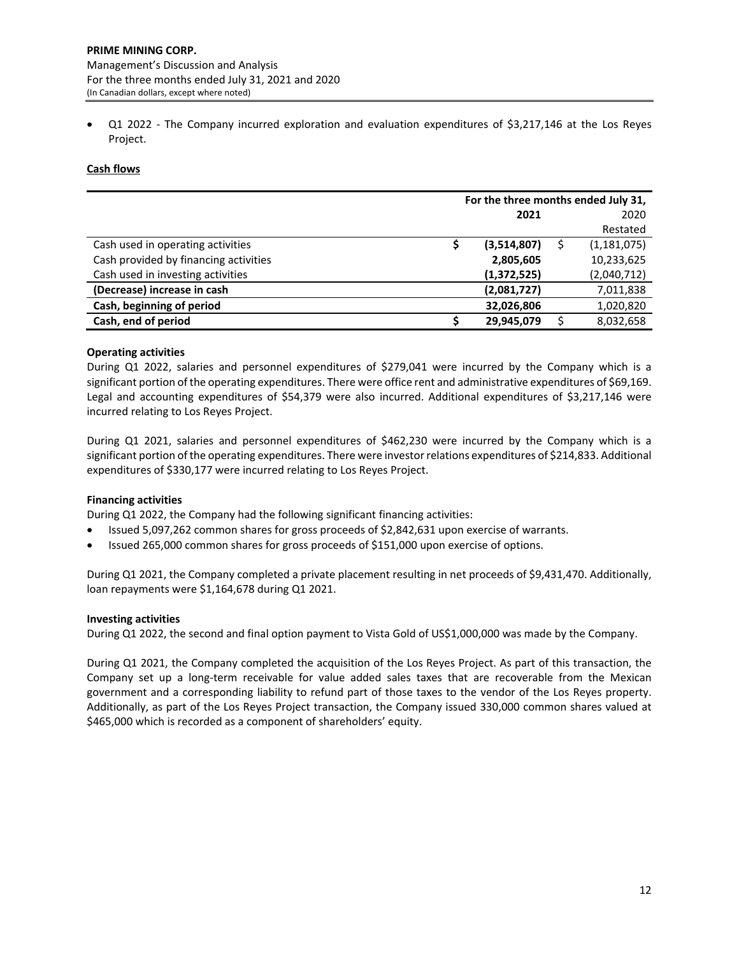Q1 2022 - The Company incurred exploration and evaluation expenditures of \$3,217,146 at the Los Reyes Project.

# **Cash flows**

|                                       | For the three months ended July 31, |               |  |               |  |  |  |
|---------------------------------------|-------------------------------------|---------------|--|---------------|--|--|--|
|                                       |                                     | 2021          |  | 2020          |  |  |  |
|                                       |                                     |               |  | Restated      |  |  |  |
| Cash used in operating activities     |                                     | (3,514,807)   |  | (1, 181, 075) |  |  |  |
| Cash provided by financing activities |                                     | 2,805,605     |  | 10,233,625    |  |  |  |
| Cash used in investing activities     |                                     | (1, 372, 525) |  | (2,040,712)   |  |  |  |
| (Decrease) increase in cash           |                                     | (2,081,727)   |  | 7,011,838     |  |  |  |
| Cash, beginning of period             |                                     | 32,026,806    |  | 1,020,820     |  |  |  |
| Cash, end of period                   |                                     | 29,945,079    |  | 8,032,658     |  |  |  |

## **Operating activities**

During Q1 2022, salaries and personnel expenditures of \$279,041 were incurred by the Company which is a significant portion of the operating expenditures. There were office rent and administrative expenditures of \$69,169. Legal and accounting expenditures of \$54,379 were also incurred. Additional expenditures of \$3,217,146 were incurred relating to Los Reyes Project.

During Q1 2021, salaries and personnel expenditures of \$462,230 were incurred by the Company which is a significant portion of the operating expenditures. There were investorrelations expenditures of \$214,833. Additional expenditures of \$330,177 were incurred relating to Los Reyes Project.

# **Financing activities**

During Q1 2022, the Company had the following significant financing activities:

- Issued 5,097,262 common shares for gross proceeds of \$2,842,631 upon exercise of warrants.
- Issued 265,000 common shares for gross proceeds of \$151,000 upon exercise of options.

During Q1 2021, the Company completed a private placement resulting in net proceeds of \$9,431,470. Additionally, loan repayments were \$1,164,678 during Q1 2021.

### **Investing activities**

During Q1 2022, the second and final option payment to Vista Gold of US\$1,000,000 was made by the Company.

During Q1 2021, the Company completed the acquisition of the Los Reyes Project. As part of this transaction, the Company set up a long‐term receivable for value added sales taxes that are recoverable from the Mexican government and a corresponding liability to refund part of those taxes to the vendor of the Los Reyes property. Additionally, as part of the Los Reyes Project transaction, the Company issued 330,000 common shares valued at \$465,000 which is recorded as a component of shareholders' equity.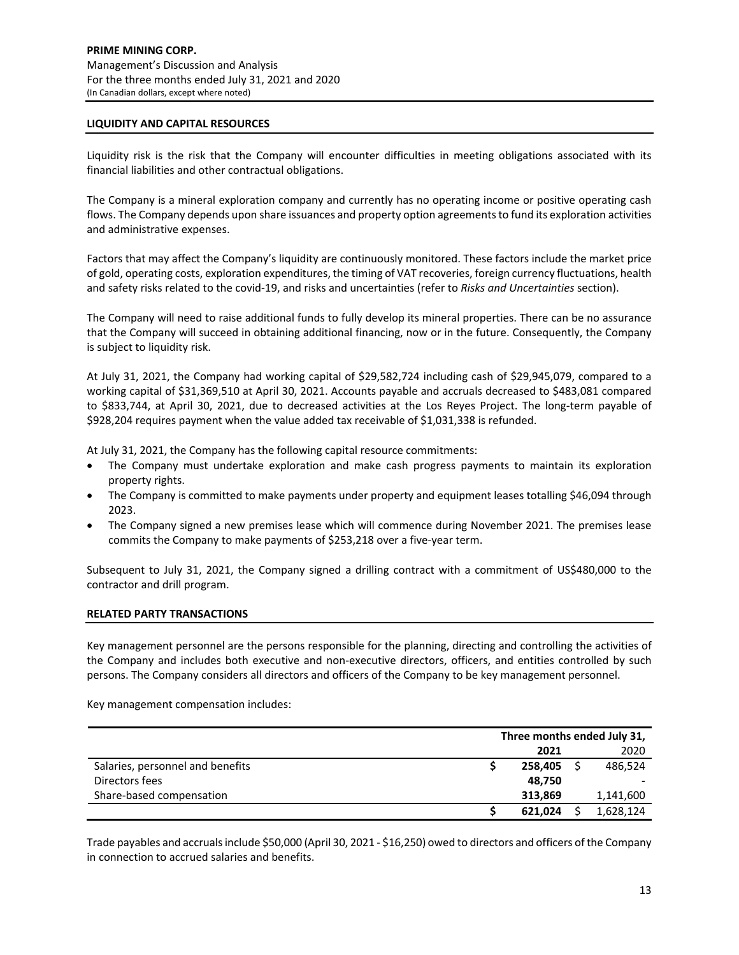### **LIQUIDITY AND CAPITAL RESOURCES**

Liquidity risk is the risk that the Company will encounter difficulties in meeting obligations associated with its financial liabilities and other contractual obligations.

The Company is a mineral exploration company and currently has no operating income or positive operating cash flows. The Company depends upon share issuances and property option agreementsto fund its exploration activities and administrative expenses.

Factors that may affect the Company's liquidity are continuously monitored. These factors include the market price of gold, operating costs, exploration expenditures, the timing of VAT recoveries, foreign currency fluctuations, health and safety risks related to the covid‐19, and risks and uncertainties (refer to *Risks and Uncertainties* section).

The Company will need to raise additional funds to fully develop its mineral properties. There can be no assurance that the Company will succeed in obtaining additional financing, now or in the future. Consequently, the Company is subject to liquidity risk.

At July 31, 2021, the Company had working capital of \$29,582,724 including cash of \$29,945,079, compared to a working capital of \$31,369,510 at April 30, 2021. Accounts payable and accruals decreased to \$483,081 compared to \$833,744, at April 30, 2021, due to decreased activities at the Los Reyes Project. The long-term payable of \$928,204 requires payment when the value added tax receivable of \$1,031,338 is refunded.

At July 31, 2021, the Company has the following capital resource commitments:

- The Company must undertake exploration and make cash progress payments to maintain its exploration property rights.
- The Company is committed to make payments under property and equipment leases totalling \$46,094 through 2023.
- The Company signed a new premises lease which will commence during November 2021. The premises lease commits the Company to make payments of \$253,218 over a five‐year term.

Subsequent to July 31, 2021, the Company signed a drilling contract with a commitment of US\$480,000 to the contractor and drill program.

### **RELATED PARTY TRANSACTIONS**

Key management personnel are the persons responsible for the planning, directing and controlling the activities of the Company and includes both executive and non‐executive directors, officers, and entities controlled by such persons. The Company considers all directors and officers of the Company to be key management personnel.

Key management compensation includes:

|                                  | Three months ended July 31, |         |  |           |
|----------------------------------|-----------------------------|---------|--|-----------|
|                                  |                             | 2021    |  | 2020      |
| Salaries, personnel and benefits |                             | 258,405 |  | 486,524   |
| Directors fees                   |                             | 48.750  |  |           |
| Share-based compensation         |                             | 313.869 |  | 1,141,600 |
|                                  |                             | 621.024 |  | 1,628,124 |

Trade payables and accrualsinclude \$50,000 (April 30, 2021 ‐ \$16,250) owed to directors and officers of the Company in connection to accrued salaries and benefits.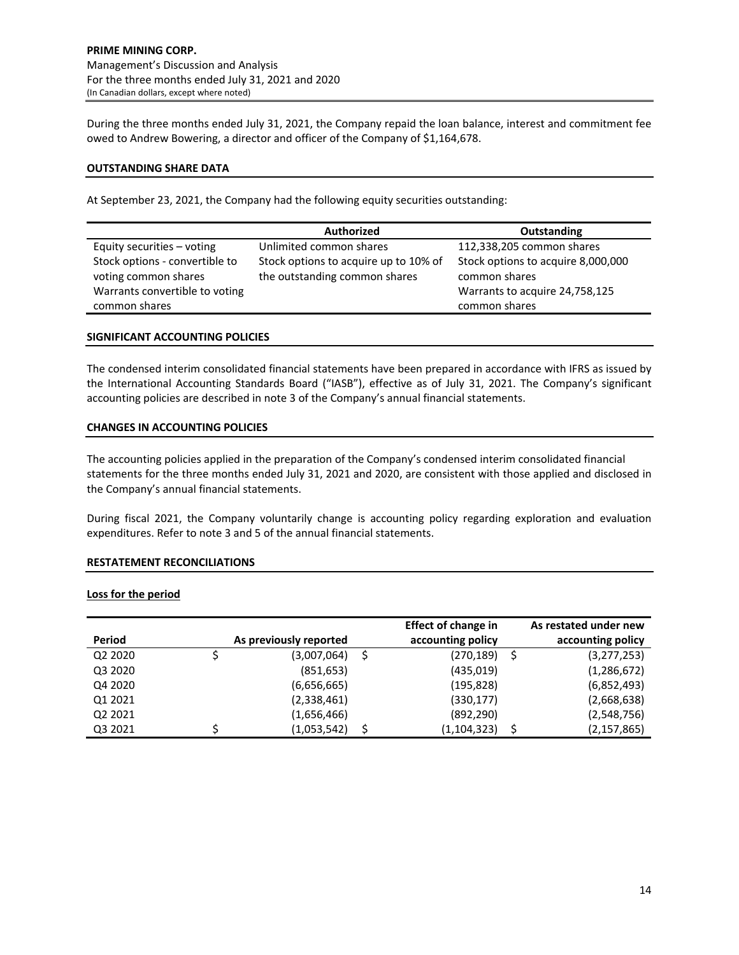During the three months ended July 31, 2021, the Company repaid the loan balance, interest and commitment fee owed to Andrew Bowering, a director and officer of the Company of \$1,164,678.

## **OUTSTANDING SHARE DATA**

At September 23, 2021, the Company had the following equity securities outstanding:

|                                                                                                           | <b>Authorized</b>                                                      | Outstanding                                                                                            |  |  |  |  |
|-----------------------------------------------------------------------------------------------------------|------------------------------------------------------------------------|--------------------------------------------------------------------------------------------------------|--|--|--|--|
| Equity securities - voting                                                                                | Unlimited common shares                                                | 112,338,205 common shares                                                                              |  |  |  |  |
| Stock options - convertible to<br>voting common shares<br>Warrants convertible to voting<br>common shares | Stock options to acquire up to 10% of<br>the outstanding common shares | Stock options to acquire 8,000,000<br>common shares<br>Warrants to acquire 24,758,125<br>common shares |  |  |  |  |

## **SIGNIFICANT ACCOUNTING POLICIES**

The condensed interim consolidated financial statements have been prepared in accordance with IFRS as issued by the International Accounting Standards Board ("IASB"), effective as of July 31, 2021. The Company's significant accounting policies are described in note 3 of the Company's annual financial statements.

## **CHANGES IN ACCOUNTING POLICIES**

The accounting policies applied in the preparation of the Company's condensed interim consolidated financial statements for the three months ended July 31, 2021 and 2020, are consistent with those applied and disclosed in the Company's annual financial statements.

During fiscal 2021, the Company voluntarily change is accounting policy regarding exploration and evaluation expenditures. Refer to note 3 and 5 of the annual financial statements.

# **RESTATEMENT RECONCILIATIONS**

### **Loss for the period**

|                                 |                        |            | <b>Effect of change in</b> |   | As restated under new |
|---------------------------------|------------------------|------------|----------------------------|---|-----------------------|
| Period                          | As previously reported |            | accounting policy          |   | accounting policy     |
| Q <sub>2</sub> 20 <sub>20</sub> | (3,007,064)            | -S         | (270, 189)                 | S | (3,277,253)           |
| Q3 2020                         |                        | (851, 653) | (435, 019)                 |   | (1,286,672)           |
| Q4 2020                         | (6,656,665)            |            | (195, 828)                 |   | (6,852,493)           |
| Q1 2021                         | (2,338,461)            |            | (330, 177)                 |   | (2,668,638)           |
| Q2 2021                         | (1,656,466)            |            | (892, 290)                 |   | (2,548,756)           |
| Q3 2021                         | (1,053,542)            |            | (1, 104, 323)              | S | (2, 157, 865)         |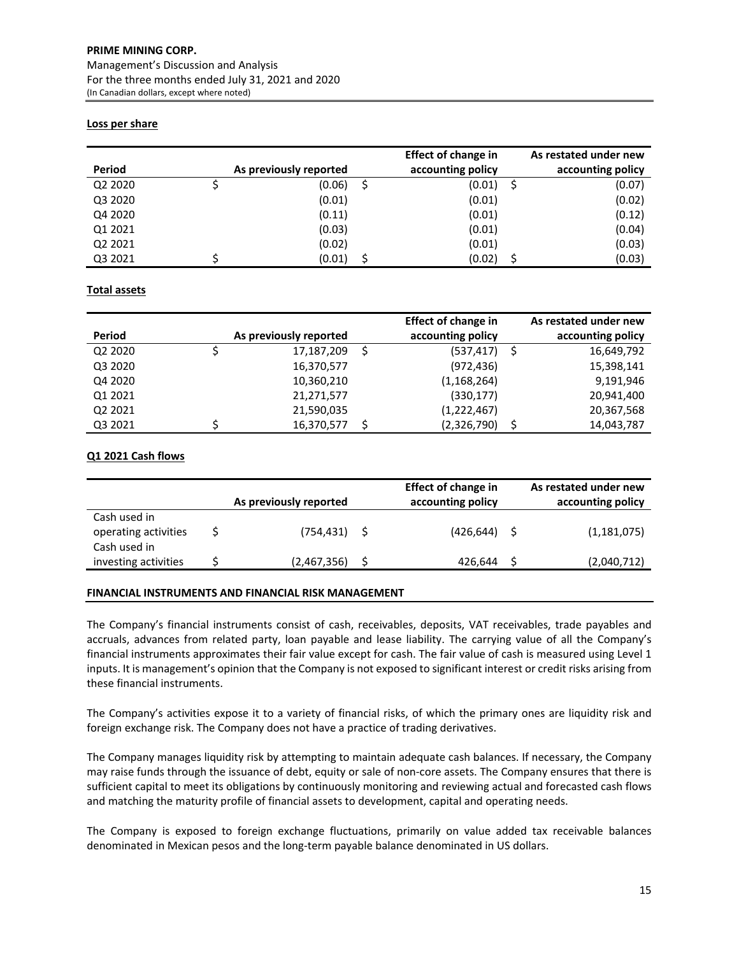# **PRIME MINING CORP.** Management's Discussion and Analysis For the three months ended July 31, 2021 and 2020

(In Canadian dollars, except where noted)

# **Loss per share**

| Period  | As previously reported | <b>Effect of change in</b><br>accounting policy | As restated under new<br>accounting policy |
|---------|------------------------|-------------------------------------------------|--------------------------------------------|
| Q2 2020 | (0.06)                 | (0.01)                                          | (0.07)                                     |
| Q3 2020 | (0.01)                 | (0.01)                                          | (0.02)                                     |
| Q4 2020 | (0.11)                 | (0.01)                                          | (0.12)                                     |
| Q1 2021 | (0.03)                 | (0.01)                                          | (0.04)                                     |
| Q2 2021 | (0.02)                 | (0.01)                                          | (0.03)                                     |
| Q3 2021 | (0.01)                 | (0.02)                                          | (0.03)                                     |

# **Total assets**

|         |                        | <b>Effect of change in</b> |   | As restated under new |
|---------|------------------------|----------------------------|---|-----------------------|
| Period  | As previously reported | accounting policy          |   | accounting policy     |
| Q2 2020 | 17,187,209             | (537, 417)                 |   | 16,649,792            |
| Q3 2020 | 16,370,577             | (972, 436)                 |   | 15,398,141            |
| Q4 2020 | 10,360,210             | (1,168,264)                |   | 9,191,946             |
| Q1 2021 | 21,271,577             | (330, 177)                 |   | 20,941,400            |
| Q2 2021 | 21,590,035             | (1,222,467)                |   | 20,367,568            |
| Q3 2021 | 16,370,577             | (2,326,790)                | S | 14,043,787            |

# **Q1 2021 Cash flows**

|                                                      | As previously reported | <b>Effect of change in</b><br>accounting policy | As restated under new<br>accounting policy |
|------------------------------------------------------|------------------------|-------------------------------------------------|--------------------------------------------|
| Cash used in<br>operating activities<br>Cash used in | (754,431)              | $(426, 644)$ \$                                 | (1, 181, 075)                              |
| investing activities                                 | (2,467,356)            | 426,644                                         | (2,040,712)                                |

# **FINANCIAL INSTRUMENTS AND FINANCIAL RISK MANAGEMENT**

The Company's financial instruments consist of cash, receivables, deposits, VAT receivables, trade payables and accruals, advances from related party, loan payable and lease liability. The carrying value of all the Company's financial instruments approximates their fair value except for cash. The fair value of cash is measured using Level 1 inputs. It is management's opinion that the Company is not exposed to significant interest or credit risks arising from these financial instruments.

The Company's activities expose it to a variety of financial risks, of which the primary ones are liquidity risk and foreign exchange risk. The Company does not have a practice of trading derivatives.

The Company manages liquidity risk by attempting to maintain adequate cash balances. If necessary, the Company may raise funds through the issuance of debt, equity or sale of non-core assets. The Company ensures that there is sufficient capital to meet its obligations by continuously monitoring and reviewing actual and forecasted cash flows and matching the maturity profile of financial assets to development, capital and operating needs.

The Company is exposed to foreign exchange fluctuations, primarily on value added tax receivable balances denominated in Mexican pesos and the long‐term payable balance denominated in US dollars.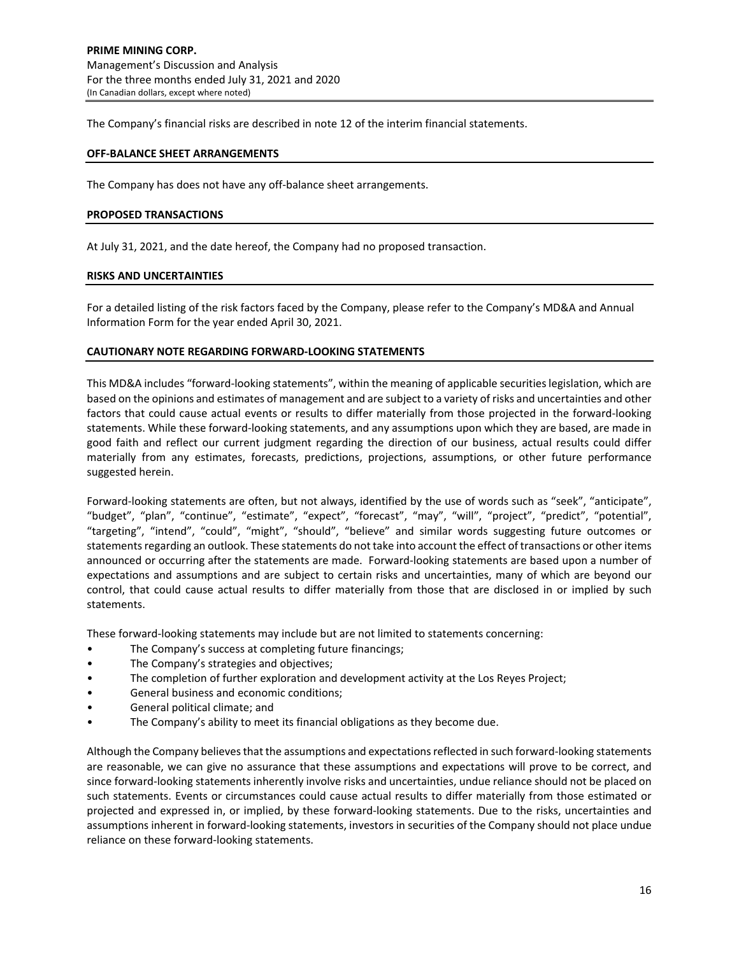The Company's financial risks are described in note 12 of the interim financial statements.

### **OFF‐BALANCE SHEET ARRANGEMENTS**

The Company has does not have any off‐balance sheet arrangements.

#### **PROPOSED TRANSACTIONS**

At July 31, 2021, and the date hereof, the Company had no proposed transaction.

#### **RISKS AND UNCERTAINTIES**

For a detailed listing of the risk factors faced by the Company, please refer to the Company's MD&A and Annual Information Form for the year ended April 30, 2021.

#### **CAUTIONARY NOTE REGARDING FORWARD‐LOOKING STATEMENTS**

This MD&A includes "forward‐looking statements", within the meaning of applicable securitieslegislation, which are based on the opinions and estimates of management and are subject to a variety of risks and uncertainties and other factors that could cause actual events or results to differ materially from those projected in the forward‐looking statements. While these forward‐looking statements, and any assumptions upon which they are based, are made in good faith and reflect our current judgment regarding the direction of our business, actual results could differ materially from any estimates, forecasts, predictions, projections, assumptions, or other future performance suggested herein.

Forward-looking statements are often, but not always, identified by the use of words such as "seek", "anticipate", "budget", "plan", "continue", "estimate", "expect", "forecast", "may", "will", "project", "predict", "potential", "targeting", "intend", "could", "might", "should", "believe" and similar words suggesting future outcomes or statements regarding an outlook. These statements do not take into account the effect of transactions or other items announced or occurring after the statements are made. Forward‐looking statements are based upon a number of expectations and assumptions and are subject to certain risks and uncertainties, many of which are beyond our control, that could cause actual results to differ materially from those that are disclosed in or implied by such statements.

These forward‐looking statements may include but are not limited to statements concerning:

- The Company's success at completing future financings;
- The Company's strategies and objectives;
- The completion of further exploration and development activity at the Los Reyes Project;
- General business and economic conditions;
- General political climate; and
- The Company's ability to meet its financial obligations as they become due.

Although the Company believesthat the assumptions and expectationsreflected in such forward‐looking statements are reasonable, we can give no assurance that these assumptions and expectations will prove to be correct, and since forward-looking statements inherently involve risks and uncertainties, undue reliance should not be placed on such statements. Events or circumstances could cause actual results to differ materially from those estimated or projected and expressed in, or implied, by these forward‐looking statements. Due to the risks, uncertainties and assumptions inherent in forward‐looking statements, investors in securities of the Company should not place undue reliance on these forward‐looking statements.